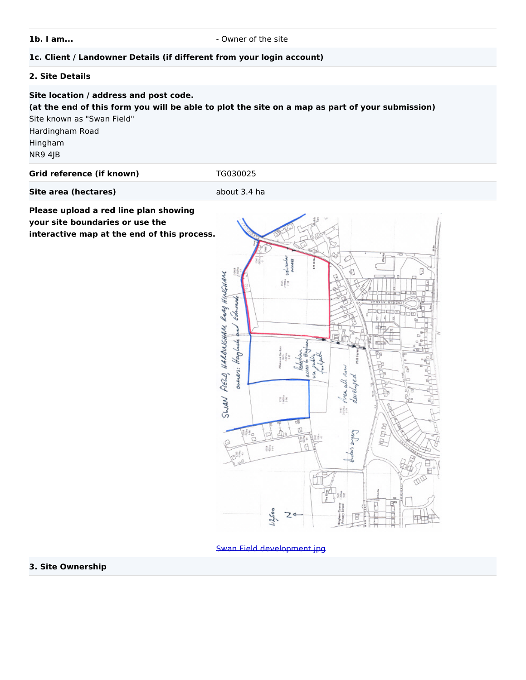**1b. I am... 1b. I am... 1b. I am... 1b. I am... 1** 

## **1c. Client / Landowner Details (if different from your login account)**

# **2. Site Details**

# **Site location / address and post code.**

**(at the end of this form you will be able to plot the site on a map as part of your submission)** Site known as "Swan Field"

Hardingham Road Hingham

NR9 4JB

Grid reference (if known) TG030025

**Site area (hectares)** about 3.4 ha

**Please upload a red line plan showing your site boundaries or use the interactive map at the end of this process.**



[Swan Field development.jpg](https://gnlp.jdi-consult.net/forms/download.php?q=Zm9ybV9pZD00MTMyMyZpZD01MSZlbD1lbGVtZW50Xzg4Jmhhc2g9YTcxZmYzZmRiYjdlZGJlYTJkMTNjNzBiYTliY2EzYzI=)

## **3. Site Ownership**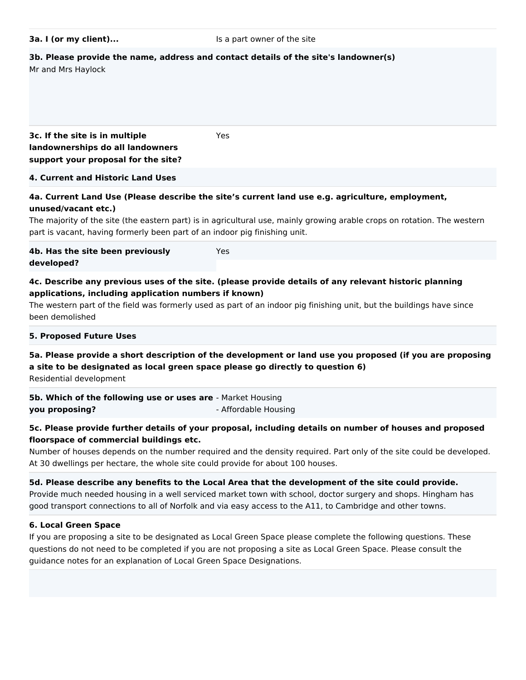## **3b. Please provide the name, address and contact details of the site's landowner(s)**

Yes

Mr and Mrs Haylock

**3c. If the site is in multiple landownerships do all landowners support your proposal for the site?**

## **4. Current and Historic Land Uses**

# **4a. Current Land Use (Please describe the site's current land use e.g. agriculture, employment, unused/vacant etc.)**

The majority of the site (the eastern part) is in agricultural use, mainly growing arable crops on rotation. The western part is vacant, having formerly been part of an indoor pig finishing unit.

| 4b. Has the site been previously | Yes |
|----------------------------------|-----|
| developed?                       |     |

# **4c. Describe any previous uses of the site. (please provide details of any relevant historic planning applications, including application numbers if known)**

The western part of the field was formerly used as part of an indoor pig finishing unit, but the buildings have since been demolished

#### **5. Proposed Future Uses**

**5a. Please provide a short description of the development or land use you proposed (if you are proposing a site to be designated as local green space please go directly to question 6)** Residential development

**5b. Which of the following use or uses are** - Market Housing **you proposing?** - Affordable Housing

## **5c. Please provide further details of your proposal, including details on number of houses and proposed floorspace of commercial buildings etc.**

Number of houses depends on the number required and the density required. Part only of the site could be developed. At 30 dwellings per hectare, the whole site could provide for about 100 houses.

# **5d. Please describe any benefits to the Local Area that the development of the site could provide.** Provide much needed housing in a well serviced market town with school, doctor surgery and shops. Hingham has good transport connections to all of Norfolk and via easy access to the A11, to Cambridge and other towns.

## **6. Local Green Space**

If you are proposing a site to be designated as Local Green Space please complete the following questions. These questions do not need to be completed if you are not proposing a site as Local Green Space. Please consult the guidance notes for an explanation of Local Green Space Designations.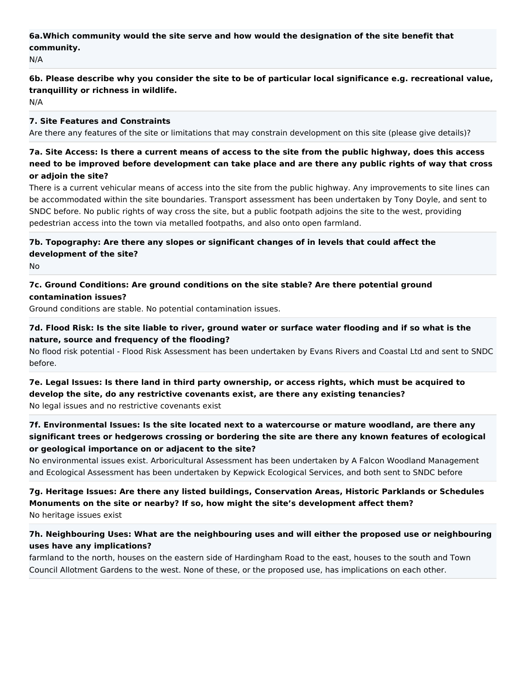# **6a.Which community would the site serve and how would the designation of the site benefit that community.**

N/A

# **6b. Please describe why you consider the site to be of particular local significance e.g. recreational value, tranquillity or richness in wildlife.**

N/A

## **7. Site Features and Constraints**

Are there any features of the site or limitations that may constrain development on this site (please give details)?

# **7a. Site Access: Is there a current means of access to the site from the public highway, does this access need to be improved before development can take place and are there any public rights of way that cross or adjoin the site?**

There is a current vehicular means of access into the site from the public highway. Any improvements to site lines can be accommodated within the site boundaries. Transport assessment has been undertaken by Tony Doyle, and sent to SNDC before. No public rights of way cross the site, but a public footpath adjoins the site to the west, providing pedestrian access into the town via metalled footpaths, and also onto open farmland.

# **7b. Topography: Are there any slopes or significant changes of in levels that could affect the development of the site?**

No

# **7c. Ground Conditions: Are ground conditions on the site stable? Are there potential ground contamination issues?**

Ground conditions are stable. No potential contamination issues.

# **7d. Flood Risk: Is the site liable to river, ground water or surface water flooding and if so what is the nature, source and frequency of the flooding?**

No flood risk potential - Flood Risk Assessment has been undertaken by Evans Rivers and Coastal Ltd and sent to SNDC before.

**7e. Legal Issues: Is there land in third party ownership, or access rights, which must be acquired to develop the site, do any restrictive covenants exist, are there any existing tenancies?** No legal issues and no restrictive covenants exist

# **7f. Environmental Issues: Is the site located next to a watercourse or mature woodland, are there any significant trees or hedgerows crossing or bordering the site are there any known features of ecological or geological importance on or adjacent to the site?**

No environmental issues exist. Arboricultural Assessment has been undertaken by A Falcon Woodland Management and Ecological Assessment has been undertaken by Kepwick Ecological Services, and both sent to SNDC before

# **7g. Heritage Issues: Are there any listed buildings, Conservation Areas, Historic Parklands or Schedules Monuments on the site or nearby? If so, how might the site's development affect them?** No heritage issues exist

# **7h. Neighbouring Uses: What are the neighbouring uses and will either the proposed use or neighbouring uses have any implications?**

farmland to the north, houses on the eastern side of Hardingham Road to the east, houses to the south and Town Council Allotment Gardens to the west. None of these, or the proposed use, has implications on each other.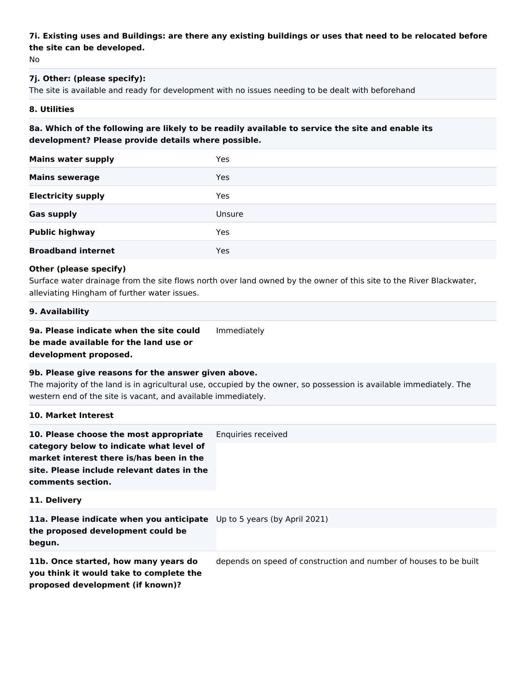# **7i. Existing uses and Buildings: are there any existing buildings or uses that need to be relocated before the site can be developed.**

No

## **7j. Other: (please specify):**

The site is available and ready for development with no issues needing to be dealt with beforehand

#### **8. Utilities**

## **8a. Which of the following are likely to be readily available to service the site and enable its development? Please provide details where possible.**

| <b>Mains water supply</b> | Yes    |
|---------------------------|--------|
| <b>Mains sewerage</b>     | Yes    |
| <b>Electricity supply</b> | Yes    |
| <b>Gas supply</b>         | Unsure |
| <b>Public highway</b>     | Yes    |
| <b>Broadband internet</b> | Yes    |

## **Other (please specify)**

Surface water drainage from the site flows north over land owned by the owner of this site to the River Blackwater, alleviating Hingham of further water issues.

#### **9. Availability**

#### **9a. Please indicate when the site could be made available for the land use or**  Immediately

**development proposed.**

## **9b. Please give reasons for the answer given above.**

The majority of the land is in agricultural use, occupied by the owner, so possession is available immediately. The western end of the site is vacant, and available immediately.

# **10. Market Interest**

**10. Please choose the most appropriate category below to indicate what level of market interest there is/has been in the site. Please include relevant dates in the comments section.** Enquiries received

## **11. Delivery**

| <b>11a. Please indicate when you anticipate</b> Up to 5 years (by April 2021) |                                                                   |
|-------------------------------------------------------------------------------|-------------------------------------------------------------------|
| the proposed development could be                                             |                                                                   |
| begun.                                                                        |                                                                   |
| 11b. Once started, how many years do                                          | depends on speed of construction and number of houses to be built |

**you think it would take to complete the proposed development (if known)?**

depends on speed of construction and number of houses to be built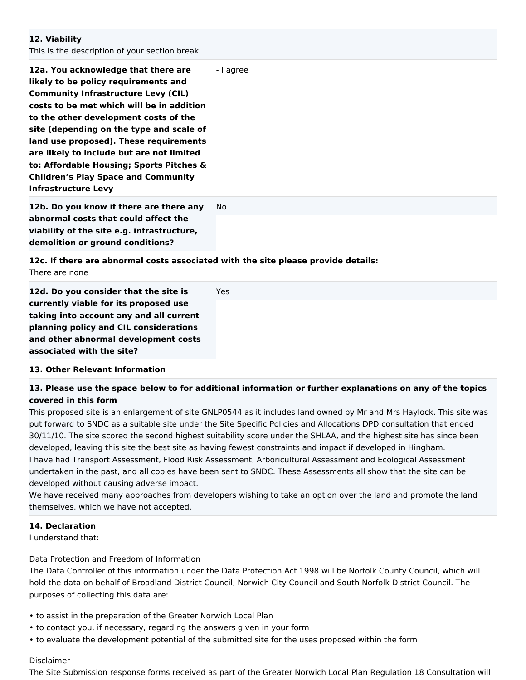## **12. Viability**

This is the description of your section break.

| 12a. You acknowledge that there are<br>likely to be policy requirements and        | - I agree |
|------------------------------------------------------------------------------------|-----------|
| <b>Community Infrastructure Levy (CIL)</b>                                         |           |
| costs to be met which will be in addition<br>to the other development costs of the |           |
| site (depending on the type and scale of<br>land use proposed). These requirements |           |
| are likely to include but are not limited                                          |           |
| to: Affordable Housing; Sports Pitches &                                           |           |
| <b>Children's Play Space and Community</b><br><b>Infrastructure Levy</b>           |           |
| 12b. Do you know if there are there any                                            | No.       |
| abnormal costs that could affect the<br>viability of the site e.g. infrastructure, |           |
| demolition or ground conditions?                                                   |           |

**12c. If there are abnormal costs associated with the site please provide details:** There are none

**12d. Do you consider that the site is currently viable for its proposed use taking into account any and all current planning policy and CIL considerations and other abnormal development costs associated with the site?** Yes

#### **13. Other Relevant Information**

## **13. Please use the space below to for additional information or further explanations on any of the topics covered in this form**

This proposed site is an enlargement of site GNLP0544 as it includes land owned by Mr and Mrs Haylock. This site was put forward to SNDC as a suitable site under the Site Specific Policies and Allocations DPD consultation that ended 30/11/10. The site scored the second highest suitability score under the SHLAA, and the highest site has since been developed, leaving this site the best site as having fewest constraints and impact if developed in Hingham. I have had Transport Assessment, Flood Risk Assessment, Arboricultural Assessment and Ecological Assessment undertaken in the past, and all copies have been sent to SNDC. These Assessments all show that the site can be developed without causing adverse impact.

We have received many approaches from developers wishing to take an option over the land and promote the land themselves, which we have not accepted.

#### **14. Declaration**

I understand that:

Data Protection and Freedom of Information

The Data Controller of this information under the Data Protection Act 1998 will be Norfolk County Council, which will hold the data on behalf of Broadland District Council, Norwich City Council and South Norfolk District Council. The purposes of collecting this data are:

- to assist in the preparation of the Greater Norwich Local Plan
- to contact you, if necessary, regarding the answers given in your form
- to evaluate the development potential of the submitted site for the uses proposed within the form

#### Disclaimer

The Site Submission response forms received as part of the Greater Norwich Local Plan Regulation 18 Consultation will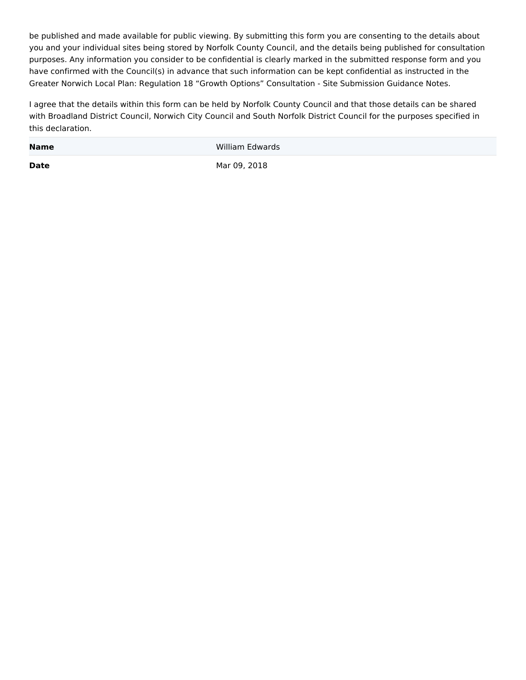be published and made available for public viewing. By submitting this form you are consenting to the details about you and your individual sites being stored by Norfolk County Council, and the details being published for consultation purposes. Any information you consider to be confidential is clearly marked in the submitted response form and you have confirmed with the Council(s) in advance that such information can be kept confidential as instructed in the Greater Norwich Local Plan: Regulation 18 "Growth Options" Consultation - Site Submission Guidance Notes.

I agree that the details within this form can be held by Norfolk County Council and that those details can be shared with Broadland District Council, Norwich City Council and South Norfolk District Council for the purposes specified in this declaration.

**Name** William Edwards

**Date** Mar 09, 2018